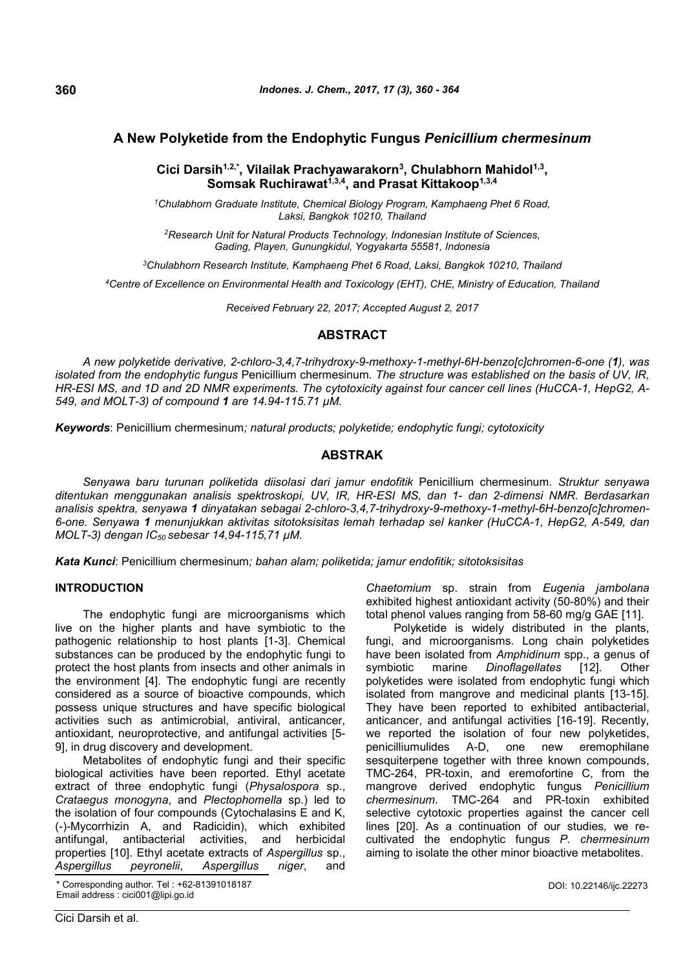# **A New Polyketide from the Endophytic Fungus** *Penicillium chermesinum*

## **Cici Darsih1,2,\*, Vilailak Prachyawarakorn<sup>3</sup> , Chulabhorn Mahidol1,3 , Somsak Ruchirawat1,3,4, and Prasat Kittakoop1,3,4**

*<sup>1</sup>Chulabhorn Graduate Institute, Chemical Biology Program, Kamphaeng Phet 6 Road, Laksi, Bangkok 10210, Thailand*

*<sup>2</sup>Research Unit for Natural Products Technology, Indonesian Institute of Sciences, Gading, Playen, Gunungkidul, Yogyakarta 55581, Indonesia*

*<sup>3</sup>Chulabhorn Research Institute, Kamphaeng Phet 6 Road, Laksi, Bangkok 10210, Thailand*

*<sup>4</sup>Centre of Excellence on Environmental Health and Toxicology (EHT), CHE, Ministry of Education, Thailand*

*Received February 22, 2017; Accepted August 2, 2017*

## **ABSTRACT**

*A new polyketide derivative, 2-chloro-3,4,7-trihydroxy-9-methoxy-1-methyl-6H-benzo[c]chromen-6-one (1), was isolated from the endophytic fungus* Penicillium chermesinum*. The structure was established on the basis of UV, IR, HR-ESI MS, and 1D and 2D NMR experiments. The cytotoxicity against four cancer cell lines (HuCCA-1, HepG2, A-549, and MOLT-3) of compound 1 are 14.94-115.71 µM.*

*Keywords*: Penicillium chermesinum*; natural products; polyketide; endophytic fungi; cytotoxicity*

## **ABSTRAK**

*Senyawa baru turunan poliketida diisolasi dari jamur endofitik* Penicillium chermesinum*. Struktur senyawa ditentukan menggunakan analisis spektroskopi, UV, IR, HR-ESI MS, dan 1- dan 2-dimensi NMR. Berdasarkan analisis spektra, senyawa 1 dinyatakan sebagai 2-chloro-3,4,7-trihydroxy-9-methoxy-1-methyl-6H-benzo[c]chromen-6-one. Senyawa 1 menunjukkan aktivitas sitotoksisitas lemah terhadap sel kanker (HuCCA-1, HepG2, A-549, dan MOLT-3) dengan IC<sup>50</sup> sebesar 14,94-115,71 µM.*

*Kata Kunci*: Penicillium chermesinum*; bahan alam; poliketida; jamur endofitik; sitotoksisitas*

## **INTRODUCTION**

The endophytic fungi are microorganisms which live on the higher plants and have symbiotic to the pathogenic relationship to host plants [1-3]. Chemical substances can be produced by the endophytic fungi to protect the host plants from insects and other animals in the environment [4]. The endophytic fungi are recently considered as a source of bioactive compounds, which possess unique structures and have specific biological activities such as antimicrobial, antiviral, anticancer, antioxidant, neuroprotective, and antifungal activities [5- 9], in drug discovery and development.

Metabolites of endophytic fungi and their specific biological activities have been reported. Ethyl acetate extract of three endophytic fungi (*Physalospora* sp., *Crataegus monogyna*, and *Plectophomella* sp.) led to the isolation of four compounds (Cytochalasins E and K, (-)-Mycorrhizin A, and Radicidin), which exhibited antifungal, antibacterial activities, and herbicidal properties [10]. Ethyl acetate extracts of *Aspergillus* sp., *Aspergillus peyronelii*, *Aspergillus niger*, and

Corresponding author. Tel : +62-81391018187 Email address : cici001@lipi.go.id

*Chaetomium* sp. strain from *Eugenia jambolana* exhibited highest antioxidant activity (50-80%) and their total phenol values ranging from 58-60 mg/g GAE [11].

Polyketide is widely distributed in the plants, fungi, and microorganisms. Long chain polyketides have been isolated from *Amphidinum* spp., a genus of marine *Dinoflagellates* [12]. Other polyketides were isolated from endophytic fungi which isolated from mangrove and medicinal plants [13-15]. They have been reported to exhibited antibacterial, anticancer, and antifungal activities [16-19]. Recently, we reported the isolation of four new polyketides, penicilliumulides A-D, one new eremophilane sesquiterpene together with three known compounds, TMC-264, PR-toxin, and eremofortine C, from the mangrove derived endophytic fungus *Penicillium chermesinum*. TMC-264 and PR-toxin exhibited selective cytotoxic properties against the cancer cell lines [20]. As a continuation of our studies*,* we recultivated the endophytic fungus *P. chermesinum* aiming to isolate the other minor bioactive metabolites.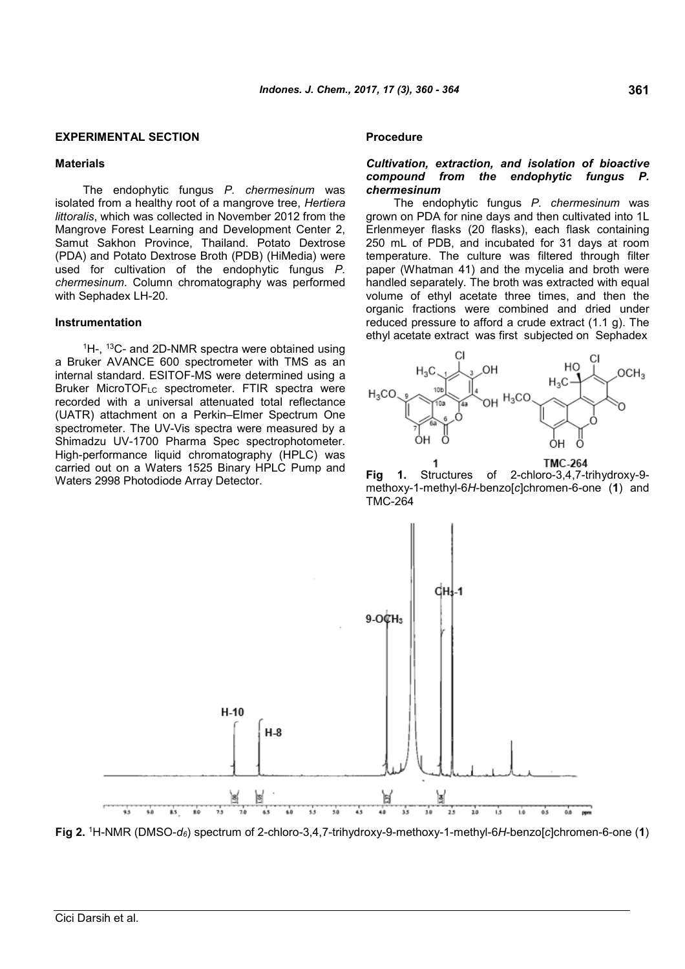#### **EXPERIMENTAL SECTION**

#### **Materials**

The endophytic fungus *P. chermesinum* was isolated from a healthy root of a mangrove tree, *Hertiera littoralis*, which was collected in November 2012 from the Mangrove Forest Learning and Development Center 2, Samut Sakhon Province, Thailand. Potato Dextrose (PDA) and Potato Dextrose Broth (PDB) (HiMedia) were used for cultivation of the endophytic fungus *P. chermesinum*. Column chromatography was performed with Sephadex LH-20.

#### **Instrumentation**

<sup>1</sup>H-, <sup>13</sup>C- and 2D-NMR spectra were obtained using a Bruker AVANCE 600 spectrometer with TMS as an internal standard. ESITOF-MS were determined using a Bruker MicroTOFLC spectrometer. FTIR spectra were recorded with a universal attenuated total reflectance (UATR) attachment on a Perkin–Elmer Spectrum One spectrometer. The UV-Vis spectra were measured by a Shimadzu UV-1700 Pharma Spec spectrophotometer. High-performance liquid chromatography (HPLC) was carried out on a Waters 1525 Binary HPLC Pump and Waters 2998 Photodiode Array Detector.

#### **Procedure**

## *Cultivation, extraction, and isolation of bioactive compound from the endophytic fungus P. chermesinum*

The endophytic fungus *P. chermesinum* was grown on PDA for nine days and then cultivated into 1L Erlenmeyer flasks (20 flasks), each flask containing 250 mL of PDB, and incubated for 31 days at room temperature. The culture was filtered through filter paper (Whatman 41) and the mycelia and broth were handled separately. The broth was extracted with equal volume of ethyl acetate three times, and then the organic fractions were combined and dried under reduced pressure to afford a crude extract (1.1 g). The ethyl acetate extract was first subjected on Sephadex



**Fig 1.** Structures of 2-chloro-3,4,7-trihydroxy-9 methoxy-1-methyl-6*H*-benzo[*c*]chromen-6-one (**1**) and TMC-264



**Fig 2.** <sup>1</sup>H-NMR (DMSO-*d6*) spectrum of 2-chloro-3,4,7-trihydroxy-9-methoxy-1-methyl-6*H*-benzo[*c*]chromen-6-one (**1**)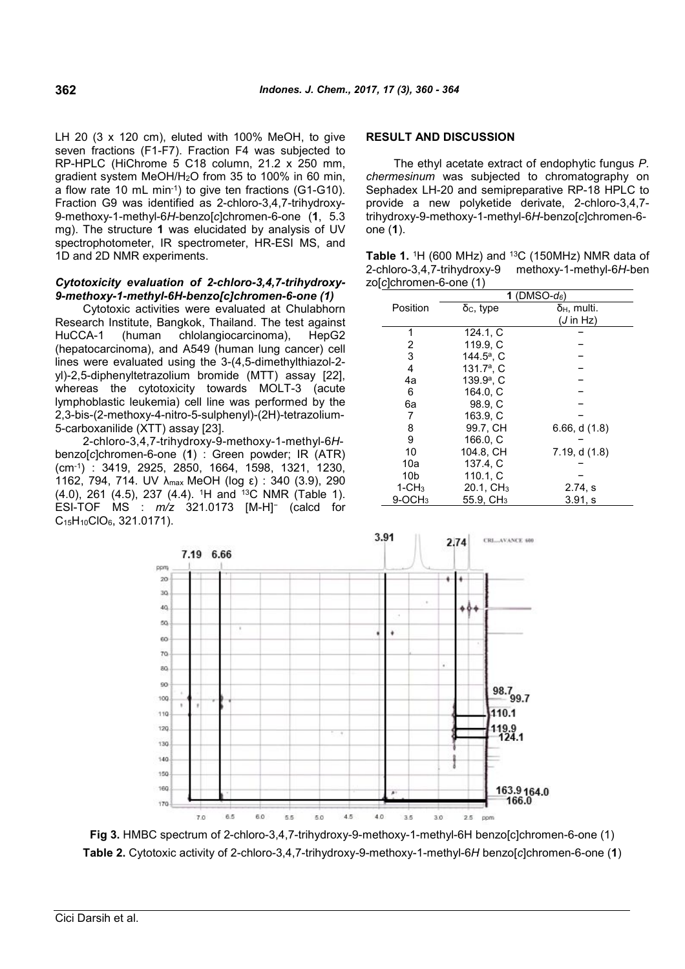LH 20 (3 x 120 cm), eluted with 100% MeOH, to give seven fractions (F1-F7). Fraction F4 was subjected to RP-HPLC (HiChrome 5 C18 column, 21.2 x 250 mm, gradient system MeOH/H2O from 35 to 100% in 60 min, a flow rate 10 mL min-1) to give ten fractions (G1-G10). Fraction G9 was identified as 2-chloro-3,4,7-trihydroxy-9-methoxy-1-methyl-6*H*-benzo[*c*]chromen-6-one (**1**, 5.3 mg). The structure **1** was elucidated by analysis of UV spectrophotometer, IR spectrometer, HR-ESI MS, and 1D and 2D NMR experiments.

### *Cytotoxicity evaluation of 2-chloro-3,4,7-trihydroxy-9-methoxy-1-methyl-6H-benzo[c]chromen-6-one (1)*

Cytotoxic activities were evaluated at Chulabhorn Research Institute, Bangkok, Thailand. The test against HuCCA-1 (human chlolangiocarcinoma), HepG2 (hepatocarcinoma), and A549 (human lung cancer) cell lines were evaluated using the 3-(4,5-dimethylthiazol-2 yl)-2,5-diphenyltetrazolium bromide (MTT) assay [22], whereas the cytotoxicity towards MOLT-3 (acute lymphoblastic leukemia) cell line was performed by the 2,3-bis-(2-methoxy-4-nitro-5-sulphenyl)-(2H)-tetrazolium-5-carboxanilide (XTT) assay [23].

2-chloro-3,4,7-trihydroxy-9-methoxy-1-methyl-6*H*benzo[*c*]chromen-6-one (**1**) : Green powder; IR (ATR) (cm-1) : 3419, 2925, 2850, 1664, 1598, 1321, 1230, 1162, 794, 714. UV λmax MeOH (log ε) : 340 (3.9), 290 (4.0), 261 (4.5), 237 (4.4). <sup>1</sup>H and <sup>13</sup>C NMR (Table 1). ESI-TOF MS : *m/z* 321.0173 [M-H]<sup>−</sup> (calcd for C15H10ClO6, 321.0171).



The ethyl acetate extract of endophytic fungus *P. chermesinum* was subjected to chromatography on Sephadex LH-20 and semipreparative RP-18 HPLC to provide a new polyketide derivate, 2-chloro-3,4,7 trihydroxy-9-methoxy-1-methyl-6*H*-benzo[*c*]chromen-6 one (**1**).

**Table 1.** <sup>1</sup>H (600 MHz) and <sup>13</sup>C (150MHz) NMR data of 2-chloro-3,4,7-trihydroxy-9 methoxy-1-methyl-6*H*-ben zo[*c*]chromen-6-one (1)

|                 | 1 (DMSO- $d_6$ )         |                      |  |  |
|-----------------|--------------------------|----------------------|--|--|
| Position        | $\delta$ c, type         | $δ_H$ , multi.       |  |  |
|                 |                          | $(J \text{ in } Hz)$ |  |  |
| 1               | 124.1, C                 |                      |  |  |
| 2               | 119.9. C                 |                      |  |  |
| 3               | 144.5 <sup>a</sup> , C   |                      |  |  |
| 4               | 131.7 <sup>a</sup> , $C$ |                      |  |  |
| 4a              | 139.9 <sup>a</sup> , C   |                      |  |  |
| 6               | 164.0, C                 |                      |  |  |
| 6а              | 98.9. C                  |                      |  |  |
| 7               | 163.9. C                 |                      |  |  |
| 8               | 99.7, CH                 | 6.66, d (1.8)        |  |  |
| 9               | 166.0. C                 |                      |  |  |
| 10              | 104.8, CH                | 7.19, d(1.8)         |  |  |
| 10a             | 137.4. C                 |                      |  |  |
| 10 <sub>b</sub> | 110.1, C                 |                      |  |  |
| $1 - CH3$       | 20.1, CH <sub>3</sub>    | 2.74, s              |  |  |
| $9-OCH3$        | 55.9, $CH3$              | 3.91, s              |  |  |



**Fig 3.** HMBC spectrum of 2-chloro-3,4,7-trihydroxy-9-methoxy-1-methyl-6H benzo[c]chromen-6-one (1) **Table 2.** Cytotoxic activity of 2-chloro-3,4,7-trihydroxy-9-methoxy-1-methyl-6*H* benzo[*c*]chromen-6-one (**1**)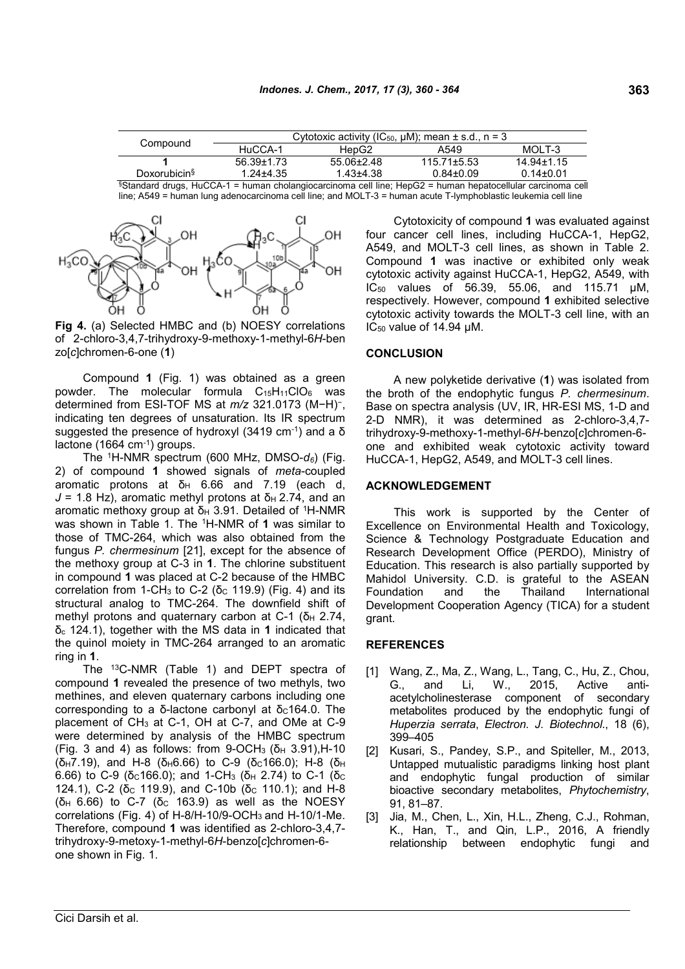| Compound                                                                                                                    | Cytotoxic activity (IC <sub>50</sub> , $\mu$ M); mean $\pm$ s.d., n = 3 |                  |                 |                |  |
|-----------------------------------------------------------------------------------------------------------------------------|-------------------------------------------------------------------------|------------------|-----------------|----------------|--|
|                                                                                                                             | HuCCA-1                                                                 | HepG2            | A549            | MOLT-3         |  |
|                                                                                                                             | 56.39+1.73                                                              | $55.06 \pm 2.48$ | $115.71 + 5.53$ | $14.94 + 1.15$ |  |
| Doxorubicin <sup>§</sup>                                                                                                    | $1.24 \pm 4.35$                                                         | 1.43+4.38        | $0.84 + 0.09$   | $0.14 + 0.01$  |  |
| $80$ toughout during $11.000$ $4$ = burning abalancies consigning and line. How CO = burning hometer allular consigning and |                                                                         |                  |                 |                |  |

§Standard drugs, HuCCA-1 = human cholangiocarcinoma cell line; HepG2 = human hepatocellular carcinoma cell line; A549 = human lung adenocarcinoma cell line; and MOLT-3 = human acute T-lymphoblastic leukemia cell line



**Fig 4.** (a) Selected HMBC and (b) NOESY correlations of 2-chloro-3,4,7-trihydroxy-9-methoxy-1-methyl-6*H*-ben zo[*c*]chromen-6-one (**1**)

Compound **1** (Fig. 1) was obtained as a green powder. The molecular formula  $C_{15}H_{11}ClO_6$  was determined from ESI-TOF MS at *m/z* 321.0173 (M−H) − , indicating ten degrees of unsaturation. Its IR spectrum suggested the presence of hydroxyl (3419 cm<sup>-1</sup>) and a δ lactone (1664 cm-1) groups.

The <sup>1</sup>H-NMR spectrum (600 MHz, DMSO-*d6*) (Fig. 2) of compound **1** showed signals of *meta*-coupled aromatic protons at  $δ<sub>H</sub> 6.66$  and 7.19 (each d,  $J = 1.8$  Hz), aromatic methyl protons at  $\delta_H$  2.74, and an aromatic methoxy group at  $δ$ <sub>H</sub> 3.91. Detailed of <sup>1</sup>H-NMR was shown in Table 1. The <sup>1</sup>H-NMR of **1** was similar to those of TMC-264, which was also obtained from the fungus *P. chermesinum* [21], except for the absence of the methoxy group at C-3 in **1**. The chlorine substituent in compound **1** was placed at C-2 because of the HMBC correlation from 1-CH<sub>3</sub> to C-2 (δ<sub>C</sub> 119.9) (Fig. 4) and its Foundation structural analog to TMC-264. The downfield shift of methyl protons and quaternary carbon at C-1 (δ $H$  2.74, δ<sup>c</sup> 124.1), together with the MS data in **1** indicated that the quinol moiety in TMC-264 arranged to an aromatic ring in **1**.

The <sup>13</sup>C-NMR (Table 1) and DEPT spectra of compound **1** revealed the presence of two methyls, two methines, and eleven quaternary carbons including one corresponding to a δ-lactone carbonyl at  $δc164.0$ . The placement of  $CH_3$  at C-1, OH at C-7, and OMe at C-9 were determined by analysis of the HMBC spectrum (Fig. 3 and 4) as follows: from 9-OCH<sub>3</sub> (δ<sub>H</sub> 3.91), H-10 ( $\delta$ H7.19), and H-8 ( $\delta$ H6.66) to C-9 ( $\delta$ c166.0); H-8 ( $\delta$ H 6.66) to C-9 (δc166.0); and 1-CH<sub>3</sub> (δ<sub>H</sub> 2.74) to C-1 (δc 124.1), C-2 (δc 119.9), and C-10b (δc 110.1); and H-8 ( $\delta$ <sub>H</sub> 6.66) to C-7 ( $\delta$ <sub>C</sub> 163.9) as well as the NOESY correlations (Fig. 4) of H-8/H-10/9-OCH<sup>3</sup> and H-10/1-Me. Therefore, compound **1** was identified as 2-chloro-3,4,7 trihydroxy-9-metoxy-1-methyl-6*H*-benzo[*c*]chromen-6 one shown in Fig. 1.

Cytotoxicity of compound **1** was evaluated against four cancer cell lines, including HuCCA-1, HepG2, A549, and MOLT-3 cell lines, as shown in Table 2. Compound **1** was inactive or exhibited only weak cytotoxic activity against HuCCA-1, HepG2, A549, with IC<sup>50</sup> values of 56.39, 55.06, and 115.71 µM, respectively. However, compound **1** exhibited selective cytotoxic activity towards the MOLT-3 cell line, with an IC<sup>50</sup> value of 14.94 µM.

## **CONCLUSION**

A new polyketide derivative (**1**) was isolated from the broth of the endophytic fungus *P. chermesinum*. Base on spectra analysis (UV, IR, HR-ESI MS, 1-D and 2-D NMR), it was determined as 2-chloro-3,4,7 trihydroxy-9-methoxy-1-methyl-6*H*-benzo[*c*]chromen-6 one and exhibited weak cytotoxic activity toward HuCCA-1, HepG2, A549, and MOLT-3 cell lines.

## **ACKNOWLEDGEMENT**

This work is supported by the Center of Excellence on Environmental Health and Toxicology, Science & Technology Postgraduate Education and Research Development Office (PERDO), Ministry of Education. This research is also partially supported by Mahidol University. C.D. is grateful to the ASEAN and the Thailand International Development Cooperation Agency (TICA) for a student grant.

## **REFERENCES**

- [1] Wang, Z., Ma, Z., Wang, L., Tang, C., Hu, Z., Chou, G., and Li, W., 2015, Active antiacetylcholinesterase component of secondary metabolites produced by the endophytic fungi of *Huperzia serrata*, *Electron. J. Biotechnol*., 18 (6), 399–405
- [2] Kusari, S., Pandey, S.P., and Spiteller, M., 2013, Untapped mutualistic paradigms linking host plant and endophytic fungal production of similar bioactive secondary metabolites, *Phytochemistry*, 91, 81–87.
- [3] Jia, M., Chen, L., Xin, H.L., Zheng, C.J., Rohman, K., Han, T., and Qin, L.P., 2016, A friendly relationship between endophytic fungi and